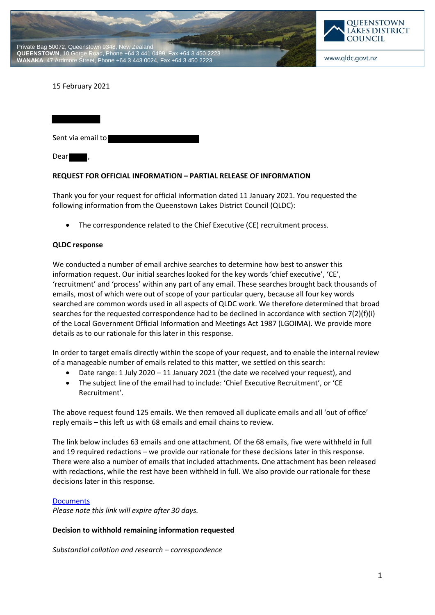



www.qldc.govt.nz

### 15 February 2021

Sent via email to Dear

#### **REQUEST FOR OFFICIAL INFORMATION – PARTIAL RELEASE OF INFORMATION**

Thank you for your request for official information dated 11 January 2021. You requested the following information from the Queenstown Lakes District Council (QLDC):

The correspondence related to the Chief Executive (CE) recruitment process.

#### **QLDC response**

We conducted a number of email archive searches to determine how best to answer this information request. Our initial searches looked for the key words 'chief executive', 'CE', 'recruitment' and 'process' within any part of any email. These searches brought back thousands of emails, most of which were out of scope of your particular query, because all four key words searched are common words used in all aspects of QLDC work. We therefore determined that broad searches for the requested correspondence had to be declined in accordance with section 7(2)(f)(i) of the Local Government Official Information and Meetings Act 1987 (LGOIMA). We provide more details as to our rationale for this later in this response.

In order to target emails directly within the scope of your request, and to enable the internal review of a manageable number of emails related to this matter, we settled on this search:

- Date range: 1 July 2020 11 January 2021 (the date we received your request), and
- The subject line of the email had to include: 'Chief Executive Recruitment', or 'CE Recruitment'.

The above request found 125 emails. We then removed all duplicate emails and all 'out of office' reply emails – this left us with 68 emails and email chains to review.

The link below includes 63 emails and one attachment. Of the 68 emails, five were withheld in full and 19 required redactions – we provide our rationale for these decisions later in this response. There were also a number of emails that included attachments. One attachment has been released with redactions, while the rest have been withheld in full. We also provide our rationale for these decisions later in this response.

### **Documents**

*Please note this link will expire after 30 days.*

### **Decision to withhold remaining information requested**

*Substantial collation and research – correspondence*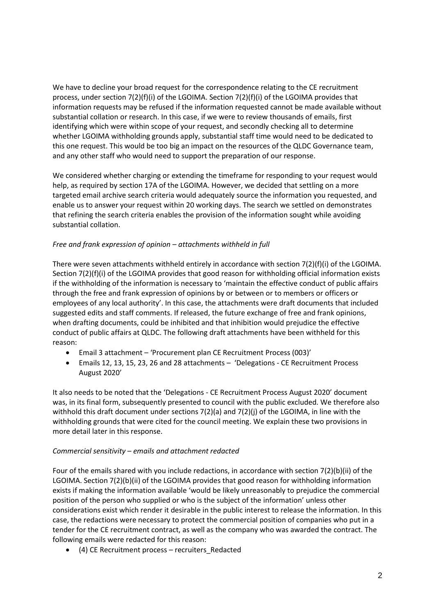We have to decline your broad request for the correspondence relating to the CE recruitment process, under section 7(2)(f)(i) of the LGOIMA. Section 7(2)(f)(i) of the LGOIMA provides that information requests may be refused if the information requested cannot be made available without substantial collation or research. In this case, if we were to review thousands of emails, first identifying which were within scope of your request, and secondly checking all to determine whether LGOIMA withholding grounds apply, substantial staff time would need to be dedicated to this one request. This would be too big an impact on the resources of the QLDC Governance team, and any other staff who would need to support the preparation of our response.

We considered whether charging or extending the timeframe for responding to your request would help, as required by section 17A of the LGOIMA. However, we decided that settling on a more targeted email archive search criteria would adequately source the information you requested, and enable us to answer your request within 20 working days. The search we settled on demonstrates that refining the search criteria enables the provision of the information sought while avoiding substantial collation.

# *Free and frank expression of opinion – attachments withheld in full*

There were seven attachments withheld entirely in accordance with section  $7(2)(f)(i)$  of the LGOIMA. Section 7(2)(f)(i) of the LGOIMA provides that good reason for withholding official information exists if the withholding of the information is necessary to 'maintain the effective conduct of public affairs through the free and frank expression of opinions by or between or to members or officers or employees of any local authority'. In this case, the attachments were draft documents that included suggested edits and staff comments. If released, the future exchange of free and frank opinions, when drafting documents, could be inhibited and that inhibition would prejudice the effective conduct of public affairs at QLDC. The following draft attachments have been withheld for this reason:

- Email 3 attachment 'Procurement plan CE Recruitment Process (003)'
- Emails 12, 13, 15, 23, 26 and 28 attachments 'Delegations CE Recruitment Process August 2020'

It also needs to be noted that the 'Delegations - CE Recruitment Process August 2020' document was, in its final form, subsequently presented to council with the public excluded. We therefore also withhold this draft document under sections 7(2)(a) and 7(2)(j) of the LGOIMA, in line with the withholding grounds that were cited for the council meeting. We explain these two provisions in more detail later in this response.

### *Commercial sensitivity – emails and attachment redacted*

Four of the emails shared with you include redactions, in accordance with section 7(2)(b)(ii) of the LGOIMA. Section 7(2)(b)(ii) of the LGOIMA provides that good reason for withholding information exists if making the information available 'would be likely unreasonably to prejudice the commercial position of the person who supplied or who is the subject of the information' unless other considerations exist which render it desirable in the public interest to release the information. In this case, the redactions were necessary to protect the commercial position of companies who put in a tender for the CE recruitment contract, as well as the company who was awarded the contract. The following emails were redacted for this reason:

(4) CE Recruitment process – recruiters\_Redacted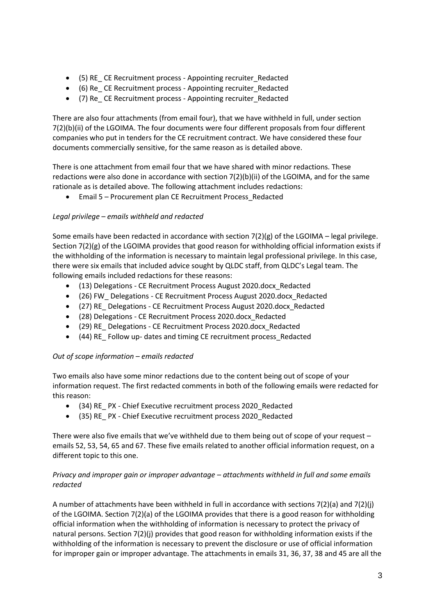- (5) RE\_ CE Recruitment process Appointing recruiter\_Redacted
- (6) Re\_ CE Recruitment process Appointing recruiter\_Redacted
- (7) Re CE Recruitment process Appointing recruiter Redacted

There are also four attachments (from email four), that we have withheld in full, under section 7(2)(b)(ii) of the LGOIMA. The four documents were four different proposals from four different companies who put in tenders for the CE recruitment contract. We have considered these four documents commercially sensitive, for the same reason as is detailed above.

There is one attachment from email four that we have shared with minor redactions. These redactions were also done in accordance with section 7(2)(b)(ii) of the LGOIMA, and for the same rationale as is detailed above. The following attachment includes redactions:

Email 5 – Procurement plan CE Recruitment Process\_Redacted

# *Legal privilege – emails withheld and redacted*

Some emails have been redacted in accordance with section 7(2)(g) of the LGOIMA – legal privilege. Section 7(2)(g) of the LGOIMA provides that good reason for withholding official information exists if the withholding of the information is necessary to maintain legal professional privilege. In this case, there were six emails that included advice sought by QLDC staff, from QLDC's Legal team. The following emails included redactions for these reasons:

- (13) Delegations CE Recruitment Process August 2020.docx\_Redacted
- (26) FW\_ Delegations CE Recruitment Process August 2020.docx\_Redacted
- (27) RE\_ Delegations CE Recruitment Process August 2020.docx\_Redacted
- (28) Delegations CE Recruitment Process 2020.docx\_Redacted
- (29) RE\_ Delegations CE Recruitment Process 2020.docx\_Redacted
- (44) RE\_ Follow up- dates and timing CE recruitment process\_Redacted

# *Out of scope information – emails redacted*

Two emails also have some minor redactions due to the content being out of scope of your information request. The first redacted comments in both of the following emails were redacted for this reason:

- (34) RE\_ PX Chief Executive recruitment process 2020\_Redacted
- (35) RE\_ PX Chief Executive recruitment process 2020\_Redacted

There were also five emails that we've withheld due to them being out of scope of your request – emails 52, 53, 54, 65 and 67. These five emails related to another official information request, on a different topic to this one.

# *Privacy and improper gain or improper advantage – attachments withheld in full and some emails redacted*

A number of attachments have been withheld in full in accordance with sections  $7(2)(a)$  and  $7(2)(i)$ of the LGOIMA. Section 7(2)(a) of the LGOIMA provides that there is a good reason for withholding official information when the withholding of information is necessary to protect the privacy of natural persons. Section 7(2)(j) provides that good reason for withholding information exists if the withholding of the information is necessary to prevent the disclosure or use of official information for improper gain or improper advantage. The attachments in emails 31, 36, 37, 38 and 45 are all the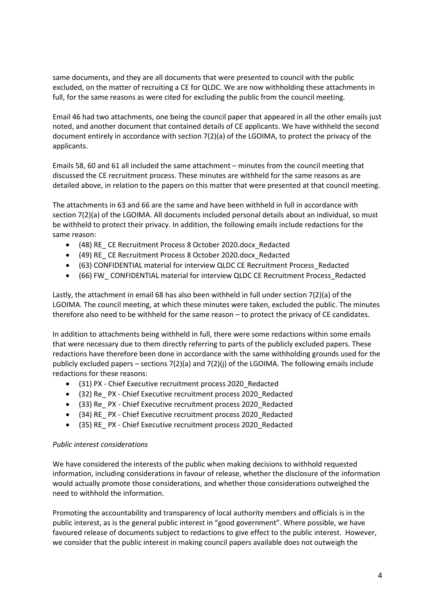same documents, and they are all documents that were presented to council with the public excluded, on the matter of recruiting a CE for QLDC. We are now withholding these attachments in full, for the same reasons as were cited for excluding the public from the council meeting.

Email 46 had two attachments, one being the council paper that appeared in all the other emails just noted, and another document that contained details of CE applicants. We have withheld the second document entirely in accordance with section 7(2)(a) of the LGOIMA, to protect the privacy of the applicants.

Emails 58, 60 and 61 all included the same attachment – minutes from the council meeting that discussed the CE recruitment process. These minutes are withheld for the same reasons as are detailed above, in relation to the papers on this matter that were presented at that council meeting.

The attachments in 63 and 66 are the same and have been withheld in full in accordance with section 7(2)(a) of the LGOIMA. All documents included personal details about an individual, so must be withheld to protect their privacy. In addition, the following emails include redactions for the same reason:

- (48) RE\_ CE Recruitment Process 8 October 2020.docx\_Redacted
- (49) RE\_ CE Recruitment Process 8 October 2020.docx\_Redacted
- (63) CONFIDENTIAL material for interview QLDC CE Recruitment Process\_Redacted
- (66) FW\_ CONFIDENTIAL material for interview QLDC CE Recruitment Process\_Redacted

Lastly, the attachment in email 68 has also been withheld in full under section 7(2)(a) of the LGOIMA. The council meeting, at which these minutes were taken, excluded the public. The minutes therefore also need to be withheld for the same reason – to protect the privacy of CE candidates.

In addition to attachments being withheld in full, there were some redactions within some emails that were necessary due to them directly referring to parts of the publicly excluded papers. These redactions have therefore been done in accordance with the same withholding grounds used for the publicly excluded papers – sections  $7(2)(a)$  and  $7(2)(i)$  of the LGOIMA. The following emails include redactions for these reasons:

- (31) PX Chief Executive recruitment process 2020\_Redacted
- (32) Re\_ PX Chief Executive recruitment process 2020\_Redacted
- (33) Re\_ PX Chief Executive recruitment process 2020\_Redacted
- (34) RE\_ PX Chief Executive recruitment process 2020\_Redacted
- (35) RE\_ PX Chief Executive recruitment process 2020\_Redacted

### *Public interest considerations*

We have considered the interests of the public when making decisions to withhold requested information, including considerations in favour of release, whether the disclosure of the information would actually promote those considerations, and whether those considerations outweighed the need to withhold the information.

Promoting the accountability and transparency of local authority members and officials is in the public interest, as is the general public interest in "good government". Where possible, we have favoured release of documents subject to redactions to give effect to the public interest. However, we consider that the public interest in making council papers available does not outweigh the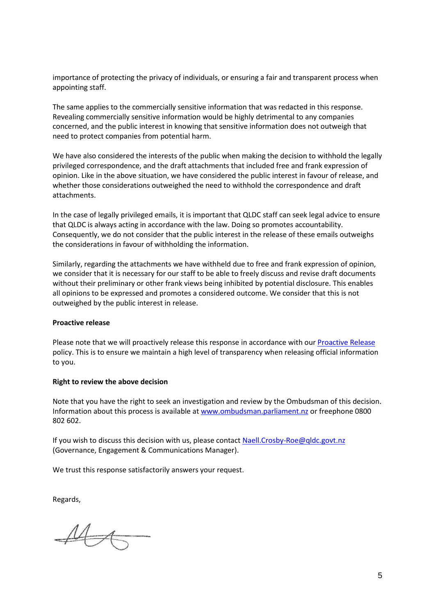importance of protecting the privacy of individuals, or ensuring a fair and transparent process when appointing staff.

The same applies to the commercially sensitive information that was redacted in this response. Revealing commercially sensitive information would be highly detrimental to any companies concerned, and the public interest in knowing that sensitive information does not outweigh that need to protect companies from potential harm.

We have also considered the interests of the public when making the decision to withhold the legally privileged correspondence, and the draft attachments that included free and frank expression of opinion. Like in the above situation, we have considered the public interest in favour of release, and whether those considerations outweighed the need to withhold the correspondence and draft attachments.

In the case of legally privileged emails, it is important that QLDC staff can seek legal advice to ensure that QLDC is always acting in accordance with the law. Doing so promotes accountability. Consequently, we do not consider that the public interest in the release of these emails outweighs the considerations in favour of withholding the information.

Similarly, regarding the attachments we have withheld due to free and frank expression of opinion, we consider that it is necessary for our staff to be able to freely discuss and revise draft documents without their preliminary or other frank views being inhibited by potential disclosure. This enables all opinions to be expressed and promotes a considered outcome. We consider that this is not outweighed by the public interest in release.

#### **Proactive release**

Please note that we will proactively release this response in accordance with our Proactive Release policy. This is to ensure we maintain a high level of transparency when releasing official information to you.

#### **Right to review the above decision**

Note that you have the right to seek an investigation and review by the Ombudsman of this decision. Information about this process is available at www.ombudsman.parliament.nz or freephone 0800 802 602.

If you wish to discuss this decision with us, please contact Naell.Crosby-Roe@qldc.govt.nz (Governance, Engagement & Communications Manager).

We trust this response satisfactorily answers your request.

Regards,

 $446$